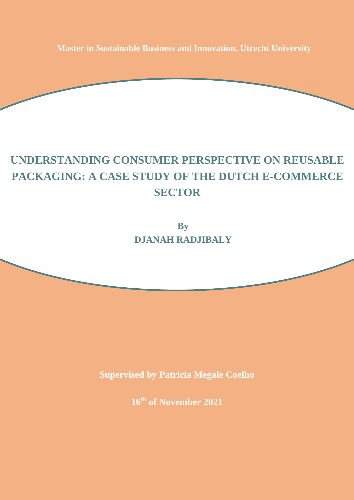**Master in Sustainable Business and Innovation, Utrecht University**

# **UNDERSTANDING CONSUMER PERSPECTIVE ON REUSABLE PACKAGING: A CASE STUDY OF THE DUTCH E-COMMERCE SECTOR**

**By DJANAH RADJIBALY**

**Supervised by Patricia Megale Coelho** 

**16th of November 2021**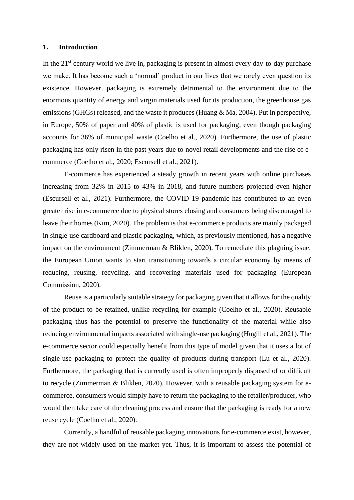#### **1. Introduction**

In the  $21<sup>st</sup>$  century world we live in, packaging is present in almost every day-to-day purchase we make. It has become such a 'normal' product in our lives that we rarely even question its existence. However, packaging is extremely detrimental to the environment due to the enormous quantity of energy and virgin materials used for its production, the greenhouse gas emissions (GHGs) released, and the waste it produces (Huang & Ma, 2004). Put in perspective, in Europe, 50% of paper and 40% of plastic is used for packaging, even though packaging accounts for 36% of municipal waste (Coelho et al., 2020). Furthermore, the use of plastic packaging has only risen in the past years due to novel retail developments and the rise of ecommerce (Coelho et al., 2020; Escursell et al., 2021).

E-commerce has experienced a steady growth in recent years with online purchases increasing from 32% in 2015 to 43% in 2018, and future numbers projected even higher (Escursell et al., 2021). Furthermore, the COVID 19 pandemic has contributed to an even greater rise in e-commerce due to physical stores closing and consumers being discouraged to leave their homes (Kim, 2020). The problem is that e-commerce products are mainly packaged in single-use cardboard and plastic packaging, which, as previously mentioned, has a negative impact on the environment (Zimmerman & Bliklen, 2020). To remediate this plaguing issue, the European Union wants to start transitioning towards a circular economy by means of reducing, reusing, recycling, and recovering materials used for packaging (European Commission, 2020).

Reuse is a particularly suitable strategy for packaging given that it allows for the quality of the product to be retained, unlike recycling for example (Coelho et al., 2020). Reusable packaging thus has the potential to preserve the functionality of the material while also reducing environmental impacts associated with single-use packaging (Hugill et al., 2021). The e-commerce sector could especially benefit from this type of model given that it uses a lot of single-use packaging to protect the quality of products during transport (Lu et al., 2020). Furthermore, the packaging that is currently used is often improperly disposed of or difficult to recycle (Zimmerman & Bliklen, 2020). However, with a reusable packaging system for ecommerce, consumers would simply have to return the packaging to the retailer/producer, who would then take care of the cleaning process and ensure that the packaging is ready for a new reuse cycle (Coelho et al., 2020).

Currently, a handful of reusable packaging innovations for e-commerce exist, however, they are not widely used on the market yet. Thus, it is important to assess the potential of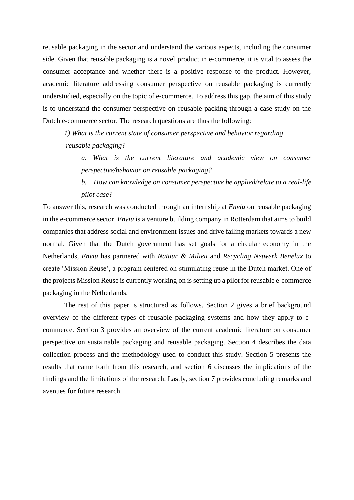reusable packaging in the sector and understand the various aspects, including the consumer side. Given that reusable packaging is a novel product in e-commerce, it is vital to assess the consumer acceptance and whether there is a positive response to the product. However, academic literature addressing consumer perspective on reusable packaging is currently understudied, especially on the topic of e-commerce. To address this gap, the aim of this study is to understand the consumer perspective on reusable packing through a case study on the Dutch e-commerce sector. The research questions are thus the following:

*1) What is the current state of consumer perspective and behavior regarding reusable packaging?*

*a. What is the current literature and academic view on consumer perspective/behavior on reusable packaging?* 

*b. How can knowledge on consumer perspective be applied/relate to a real-life pilot case?*

To answer this, research was conducted through an internship at *Enviu* on reusable packaging in the e-commerce sector. *Enviu* is a venture building company in Rotterdam that aims to build companies that address social and environment issues and drive failing markets towards a new normal. Given that the Dutch government has set goals for a circular economy in the Netherlands, *Enviu* has partnered with *Natuur & Milieu* and *Recycling Netwerk Benelux* to create 'Mission Reuse', a program centered on stimulating reuse in the Dutch market. One of the projects Mission Reuse is currently working on is setting up a pilot for reusable e-commerce packaging in the Netherlands.

The rest of this paper is structured as follows. Section 2 gives a brief background overview of the different types of reusable packaging systems and how they apply to ecommerce. Section 3 provides an overview of the current academic literature on consumer perspective on sustainable packaging and reusable packaging. Section 4 describes the data collection process and the methodology used to conduct this study. Section 5 presents the results that came forth from this research, and section 6 discusses the implications of the findings and the limitations of the research. Lastly, section 7 provides concluding remarks and avenues for future research.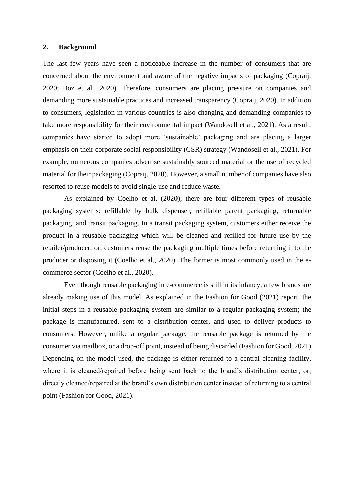#### **2. Background**

The last few years have seen a noticeable increase in the number of consumers that are concerned about the environment and aware of the negative impacts of packaging (Copraij, 2020; Boz et al., 2020). Therefore, consumers are placing pressure on companies and demanding more sustainable practices and increased transparency (Copraij, 2020). In addition to consumers, legislation in various countries is also changing and demanding companies to take more responsibility for their environmental impact (Wandosell et al., 2021). As a result, companies have started to adopt more 'sustainable' packaging and are placing a larger emphasis on their corporate social responsibility (CSR) strategy (Wandosell et al., 2021). For example, numerous companies advertise sustainably sourced material or the use of recycled material for their packaging (Copraij, 2020). However, a small number of companies have also resorted to reuse models to avoid single-use and reduce waste.

As explained by Coelho et al. (2020), there are four different types of reusable packaging systems: refillable by bulk dispenser, refillable parent packaging, returnable packaging, and transit packaging. In a transit packaging system, customers either receive the product in a reusable packaging which will be cleaned and refilled for future use by the retailer/producer, or, customers reuse the packaging multiple times before returning it to the producer or disposing it (Coelho et al., 2020). The former is most commonly used in the ecommerce sector (Coelho et al., 2020).

Even though reusable packaging in e-commerce is still in its infancy, a few brands are already making use of this model. As explained in the Fashion for Good (2021) report, the initial steps in a reusable packaging system are similar to a regular packaging system; the package is manufactured, sent to a distribution center, and used to deliver products to consumers. However, unlike a regular package, the reusable package is returned by the consumer via mailbox, or a drop-off point, instead of being discarded (Fashion for Good, 2021). Depending on the model used, the package is either returned to a central cleaning facility, where it is cleaned/repaired before being sent back to the brand's distribution center, or, directly cleaned/repaired at the brand's own distribution center instead of returning to a central point (Fashion for Good, 2021).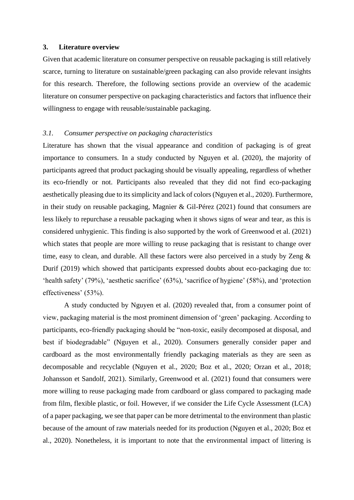#### **3. Literature overview**

Given that academic literature on consumer perspective on reusable packaging is still relatively scarce, turning to literature on sustainable/green packaging can also provide relevant insights for this research. Therefore, the following sections provide an overview of the academic literature on consumer perspective on packaging characteristics and factors that influence their willingness to engage with reusable/sustainable packaging.

# *3.1. Consumer perspective on packaging characteristics*

Literature has shown that the visual appearance and condition of packaging is of great importance to consumers. In a study conducted by Nguyen et al. (2020), the majority of participants agreed that product packaging should be visually appealing, regardless of whether its eco-friendly or not. Participants also revealed that they did not find eco-packaging aesthetically pleasing due to its simplicity and lack of colors (Nguyen et al., 2020). Furthermore, in their study on reusable packaging, Magnier & Gil-Pérez (2021) found that consumers are less likely to repurchase a reusable packaging when it shows signs of wear and tear, as this is considered unhygienic. This finding is also supported by the work of Greenwood et al. (2021) which states that people are more willing to reuse packaging that is resistant to change over time, easy to clean, and durable. All these factors were also perceived in a study by Zeng & Durif (2019) which showed that participants expressed doubts about eco-packaging due to: 'health safety' (79%), 'aesthetic sacrifice' (63%), 'sacrifice of hygiene' (58%), and 'protection effectiveness' (53%).

A study conducted by Nguyen et al. (2020) revealed that, from a consumer point of view, packaging material is the most prominent dimension of 'green' packaging. According to participants, eco-friendly packaging should be "non-toxic, easily decomposed at disposal, and best if biodegradable" (Nguyen et al., 2020). Consumers generally consider paper and cardboard as the most environmentally friendly packaging materials as they are seen as decomposable and recyclable (Nguyen et al., 2020; Boz et al., 2020; Orzan et al., 2018; Johansson et Sandolf, 2021). Similarly, Greenwood et al. (2021) found that consumers were more willing to reuse packaging made from cardboard or glass compared to packaging made from film, flexible plastic, or foil. However, if we consider the Life Cycle Assessment (LCA) of a paper packaging, we see that paper can be more detrimental to the environment than plastic because of the amount of raw materials needed for its production (Nguyen et al., 2020; Boz et al., 2020). Nonetheless, it is important to note that the environmental impact of littering is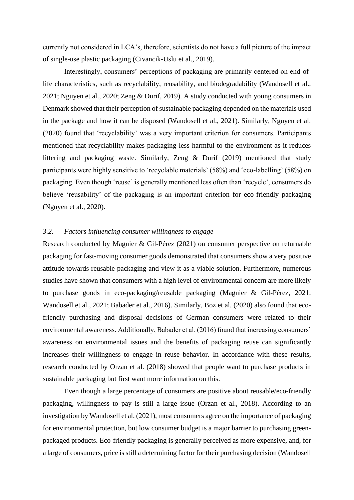currently not considered in LCA's, therefore, scientists do not have a full picture of the impact of single-use plastic packaging (Civancik-Uslu et al., 2019).

Interestingly, consumers' perceptions of packaging are primarily centered on end-oflife characteristics, such as recyclability, reusability, and biodegradability (Wandosell et al., 2021; Nguyen et al., 2020; Zeng & Durif, 2019). A study conducted with young consumers in Denmark showed that their perception of sustainable packaging depended on the materials used in the package and how it can be disposed (Wandosell et al., 2021). Similarly, Nguyen et al. (2020) found that 'recyclability' was a very important criterion for consumers. Participants mentioned that recyclability makes packaging less harmful to the environment as it reduces littering and packaging waste. Similarly, Zeng & Durif (2019) mentioned that study participants were highly sensitive to 'recyclable materials' (58%) and 'eco-labelling' (58%) on packaging. Even though 'reuse' is generally mentioned less often than 'recycle', consumers do believe 'reusability' of the packaging is an important criterion for eco-friendly packaging (Nguyen et al., 2020).

# *3.2. Factors influencing consumer willingness to engage*

Research conducted by Magnier & Gil-Pérez (2021) on consumer perspective on returnable packaging for fast-moving consumer goods demonstrated that consumers show a very positive attitude towards reusable packaging and view it as a viable solution. Furthermore, numerous studies have shown that consumers with a high level of environmental concern are more likely to purchase goods in eco-packaging/reusable packaging (Magnier & Gil-Pérez, 2021; Wandosell et al., 2021; Babader et al., 2016). Similarly, Boz et al. (2020) also found that ecofriendly purchasing and disposal decisions of German consumers were related to their environmental awareness. Additionally, Babader et al. (2016) found that increasing consumers' awareness on environmental issues and the benefits of packaging reuse can significantly increases their willingness to engage in reuse behavior. In accordance with these results, research conducted by Orzan et al. (2018) showed that people want to purchase products in sustainable packaging but first want more information on this.

Even though a large percentage of consumers are positive about reusable/eco-friendly packaging, willingness to pay is still a large issue (Orzan et al., 2018). According to an investigation by Wandosell et al. (2021), most consumers agree on the importance of packaging for environmental protection, but low consumer budget is a major barrier to purchasing greenpackaged products. Eco-friendly packaging is generally perceived as more expensive, and, for a large of consumers, price is still a determining factor for their purchasing decision (Wandosell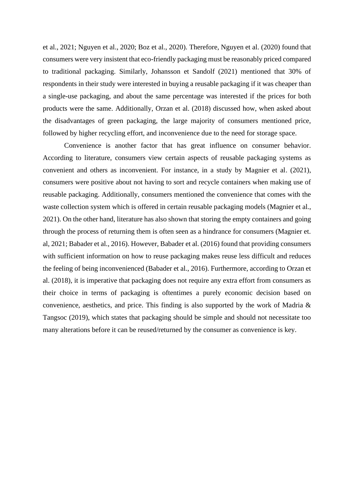et al., 2021; Nguyen et al., 2020; Boz et al., 2020). Therefore, Nguyen et al. (2020) found that consumers were very insistent that eco-friendly packaging must be reasonably priced compared to traditional packaging. Similarly, Johansson et Sandolf (2021) mentioned that 30% of respondents in their study were interested in buying a reusable packaging if it was cheaper than a single-use packaging, and about the same percentage was interested if the prices for both products were the same. Additionally, Orzan et al. (2018) discussed how, when asked about the disadvantages of green packaging, the large majority of consumers mentioned price, followed by higher recycling effort, and inconvenience due to the need for storage space.

Convenience is another factor that has great influence on consumer behavior. According to literature, consumers view certain aspects of reusable packaging systems as convenient and others as inconvenient. For instance, in a study by Magnier et al. (2021), consumers were positive about not having to sort and recycle containers when making use of reusable packaging. Additionally, consumers mentioned the convenience that comes with the waste collection system which is offered in certain reusable packaging models (Magnier et al., 2021). On the other hand, literature has also shown that storing the empty containers and going through the process of returning them is often seen as a hindrance for consumers (Magnier et. al, 2021; Babader et al., 2016). However, Babader et al. (2016) found that providing consumers with sufficient information on how to reuse packaging makes reuse less difficult and reduces the feeling of being inconvenienced (Babader et al., 2016). Furthermore, according to Orzan et al. (2018), it is imperative that packaging does not require any extra effort from consumers as their choice in terms of packaging is oftentimes a purely economic decision based on convenience, aesthetics, and price. This finding is also supported by the work of Madria & Tangsoc (2019), which states that packaging should be simple and should not necessitate too many alterations before it can be reused/returned by the consumer as convenience is key.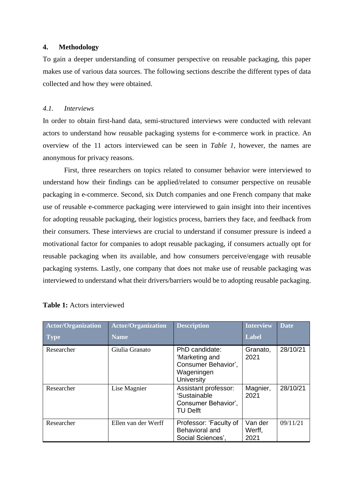## **4. Methodology**

To gain a deeper understanding of consumer perspective on reusable packaging, this paper makes use of various data sources. The following sections describe the different types of data collected and how they were obtained.

#### *4.1. Interviews*

In order to obtain first-hand data, semi-structured interviews were conducted with relevant actors to understand how reusable packaging systems for e-commerce work in practice. An overview of the 11 actors interviewed can be seen in *Table 1*, however, the names are anonymous for privacy reasons.

First, three researchers on topics related to consumer behavior were interviewed to understand how their findings can be applied/related to consumer perspective on reusable packaging in e-commerce. Second, six Dutch companies and one French company that make use of reusable e-commerce packaging were interviewed to gain insight into their incentives for adopting reusable packaging, their logistics process, barriers they face, and feedback from their consumers. These interviews are crucial to understand if consumer pressure is indeed a motivational factor for companies to adopt reusable packaging, if consumers actually opt for reusable packaging when its available, and how consumers perceive/engage with reusable packaging systems. Lastly, one company that does not make use of reusable packaging was interviewed to understand what their drivers/barriers would be to adopting reusable packaging.

| <b>Actor/Organization</b><br><b>Type</b> | <b>Actor/Organization</b><br><b>Name</b> | <b>Description</b>                                                                         | <b>Interview</b><br><b>Label</b> | <b>Date</b> |
|------------------------------------------|------------------------------------------|--------------------------------------------------------------------------------------------|----------------------------------|-------------|
| Researcher                               | Giulia Granato                           | PhD candidate:<br>'Marketing and<br>Consumer Behavior',<br>Wageningen<br><b>University</b> | Granato,<br>2021                 | 28/10/21    |
| Researcher                               | Lise Magnier                             | Assistant professor:<br>'Sustainable<br>Consumer Behavior',<br><b>TU Delft</b>             | Magnier,<br>2021                 | 28/10/21    |
| Researcher                               | Ellen van der Werff                      | Professor: 'Faculty of<br>Behavioral and<br>Social Sciences',                              | Van der<br>Werff,<br>2021        | 09/11/21    |

## **Table 1:** Actors interviewed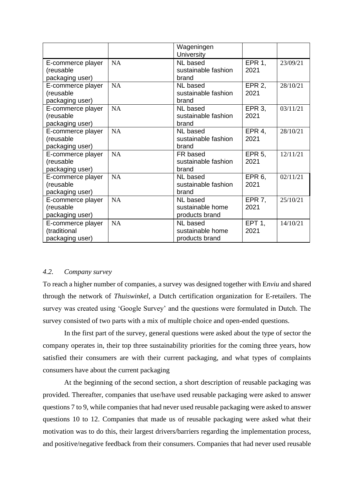| <b>EPR 1,</b><br><b>NA</b><br>NL based<br>23/09/21<br>E-commerce player<br>sustainable fashion<br>2021<br>(reusable<br>packaging user)<br>brand<br>NA<br>NL based<br><b>EPR 2,</b><br>28/10/21<br>E-commerce player<br>2021<br>(reusable<br>sustainable fashion<br>packaging user)<br>brand<br>NA<br>EPR 3,<br>03/11/21<br>E-commerce player<br><b>NL</b> based<br>2021<br>sustainable fashion<br>(reusable<br>packaging user)<br>brand<br><b>NA</b><br>EPR 4,<br><b>NL</b> based<br>28/10/21<br>E-commerce player<br>2021<br>(reusable<br>sustainable fashion<br>packaging user)<br>brand<br>NA<br><b>EPR 5,</b><br>E-commerce player<br>12/11/21<br>FR based<br>2021<br>(reusable<br>sustainable fashion<br>packaging user)<br>brand<br>NA<br>EPR <sub>6</sub> ,<br><b>NL</b> based<br>02/11/21<br>E-commerce player<br>2021<br>(reusable<br>sustainable fashion<br>packaging user)<br>brand<br><b>NA</b><br><b>EPR 7,</b><br>25/10/21<br>E-commerce player<br>NL based |  | Wageningen        |  |
|---------------------------------------------------------------------------------------------------------------------------------------------------------------------------------------------------------------------------------------------------------------------------------------------------------------------------------------------------------------------------------------------------------------------------------------------------------------------------------------------------------------------------------------------------------------------------------------------------------------------------------------------------------------------------------------------------------------------------------------------------------------------------------------------------------------------------------------------------------------------------------------------------------------------------------------------------------------------------|--|-------------------|--|
|                                                                                                                                                                                                                                                                                                                                                                                                                                                                                                                                                                                                                                                                                                                                                                                                                                                                                                                                                                           |  | <b>University</b> |  |
|                                                                                                                                                                                                                                                                                                                                                                                                                                                                                                                                                                                                                                                                                                                                                                                                                                                                                                                                                                           |  |                   |  |
|                                                                                                                                                                                                                                                                                                                                                                                                                                                                                                                                                                                                                                                                                                                                                                                                                                                                                                                                                                           |  |                   |  |
|                                                                                                                                                                                                                                                                                                                                                                                                                                                                                                                                                                                                                                                                                                                                                                                                                                                                                                                                                                           |  |                   |  |
|                                                                                                                                                                                                                                                                                                                                                                                                                                                                                                                                                                                                                                                                                                                                                                                                                                                                                                                                                                           |  |                   |  |
|                                                                                                                                                                                                                                                                                                                                                                                                                                                                                                                                                                                                                                                                                                                                                                                                                                                                                                                                                                           |  |                   |  |
|                                                                                                                                                                                                                                                                                                                                                                                                                                                                                                                                                                                                                                                                                                                                                                                                                                                                                                                                                                           |  |                   |  |
|                                                                                                                                                                                                                                                                                                                                                                                                                                                                                                                                                                                                                                                                                                                                                                                                                                                                                                                                                                           |  |                   |  |
|                                                                                                                                                                                                                                                                                                                                                                                                                                                                                                                                                                                                                                                                                                                                                                                                                                                                                                                                                                           |  |                   |  |
|                                                                                                                                                                                                                                                                                                                                                                                                                                                                                                                                                                                                                                                                                                                                                                                                                                                                                                                                                                           |  |                   |  |
|                                                                                                                                                                                                                                                                                                                                                                                                                                                                                                                                                                                                                                                                                                                                                                                                                                                                                                                                                                           |  |                   |  |
|                                                                                                                                                                                                                                                                                                                                                                                                                                                                                                                                                                                                                                                                                                                                                                                                                                                                                                                                                                           |  |                   |  |
|                                                                                                                                                                                                                                                                                                                                                                                                                                                                                                                                                                                                                                                                                                                                                                                                                                                                                                                                                                           |  |                   |  |
|                                                                                                                                                                                                                                                                                                                                                                                                                                                                                                                                                                                                                                                                                                                                                                                                                                                                                                                                                                           |  |                   |  |
|                                                                                                                                                                                                                                                                                                                                                                                                                                                                                                                                                                                                                                                                                                                                                                                                                                                                                                                                                                           |  |                   |  |
|                                                                                                                                                                                                                                                                                                                                                                                                                                                                                                                                                                                                                                                                                                                                                                                                                                                                                                                                                                           |  |                   |  |
|                                                                                                                                                                                                                                                                                                                                                                                                                                                                                                                                                                                                                                                                                                                                                                                                                                                                                                                                                                           |  |                   |  |
|                                                                                                                                                                                                                                                                                                                                                                                                                                                                                                                                                                                                                                                                                                                                                                                                                                                                                                                                                                           |  |                   |  |
|                                                                                                                                                                                                                                                                                                                                                                                                                                                                                                                                                                                                                                                                                                                                                                                                                                                                                                                                                                           |  |                   |  |
|                                                                                                                                                                                                                                                                                                                                                                                                                                                                                                                                                                                                                                                                                                                                                                                                                                                                                                                                                                           |  |                   |  |
| 2021<br>(reusable<br>sustainable home                                                                                                                                                                                                                                                                                                                                                                                                                                                                                                                                                                                                                                                                                                                                                                                                                                                                                                                                     |  |                   |  |
| packaging user)<br>products brand                                                                                                                                                                                                                                                                                                                                                                                                                                                                                                                                                                                                                                                                                                                                                                                                                                                                                                                                         |  |                   |  |
| <b>EPT 1,</b><br><b>NA</b><br>E-commerce player<br>NL based<br>14/10/21                                                                                                                                                                                                                                                                                                                                                                                                                                                                                                                                                                                                                                                                                                                                                                                                                                                                                                   |  |                   |  |
| (traditional<br>2021<br>sustainable home                                                                                                                                                                                                                                                                                                                                                                                                                                                                                                                                                                                                                                                                                                                                                                                                                                                                                                                                  |  |                   |  |
| packaging user)<br>products brand                                                                                                                                                                                                                                                                                                                                                                                                                                                                                                                                                                                                                                                                                                                                                                                                                                                                                                                                         |  |                   |  |

# *4.2. Company survey*

To reach a higher number of companies, a survey was designed together with E*nviu* and shared through the network of *Thuiswinkel*, a Dutch certification organization for E-retailers. The survey was created using 'Google Survey' and the questions were formulated in Dutch. The survey consisted of two parts with a mix of multiple choice and open-ended questions.

In the first part of the survey, general questions were asked about the type of sector the company operates in, their top three sustainability priorities for the coming three years, how satisfied their consumers are with their current packaging, and what types of complaints consumers have about the current packaging

At the beginning of the second section, a short description of reusable packaging was provided. Thereafter, companies that use/have used reusable packaging were asked to answer questions 7 to 9, while companies that had never used reusable packaging were asked to answer questions 10 to 12. Companies that made us of reusable packaging were asked what their motivation was to do this, their largest drivers/barriers regarding the implementation process, and positive/negative feedback from their consumers. Companies that had never used reusable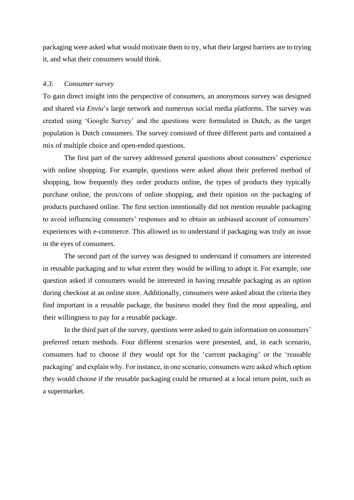packaging were asked what would motivate them to try, what their largest barriers are to trying it, and what their consumers would think.

# *4.3. Consumer survey*

To gain direct insight into the perspective of consumers, an anonymous survey was designed and shared via *Enviu*'s large network and numerous social media platforms. The survey was created using 'Google Survey' and the questions were formulated in Dutch, as the target population is Dutch consumers. The survey consisted of three different parts and contained a mix of multiple choice and open-ended questions.

The first part of the survey addressed general questions about consumers' experience with online shopping. For example, questions were asked about their preferred method of shopping, how frequently they order products online, the types of products they typically purchase online, the pros/cons of online shopping, and their opinion on the packaging of products purchased online. The first section intentionally did not mention reusable packaging to avoid influencing consumers' responses and to obtain an unbiased account of consumers' experiences with e-commerce. This allowed us to understand if packaging was truly an issue in the eyes of consumers.

The second part of the survey was designed to understand if consumers are interested in reusable packaging and to what extent they would be willing to adopt it. For example, one question asked if consumers would be interested in having reusable packaging as an option during checkout at an online store. Additionally, consumers were asked about the criteria they find important in a reusable package, the business model they find the most appealing, and their willingness to pay for a reusable package.

In the third part of the survey, questions were asked to gain information on consumers' preferred return methods. Four different scenarios were presented, and, in each scenario, consumers had to choose if they would opt for the 'current packaging' or the 'reusable packaging' and explain why. For instance, in one scenario, consumers were asked which option they would choose if the reusable packaging could be returned at a local return point, such as a supermarket.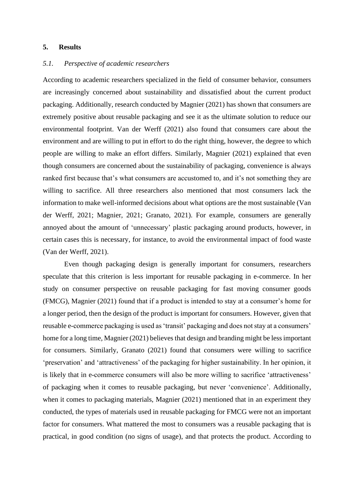# **5. Results**

# *5.1. Perspective of academic researchers*

According to academic researchers specialized in the field of consumer behavior, consumers are increasingly concerned about sustainability and dissatisfied about the current product packaging. Additionally, research conducted by Magnier (2021) has shown that consumers are extremely positive about reusable packaging and see it as the ultimate solution to reduce our environmental footprint. Van der Werff (2021) also found that consumers care about the environment and are willing to put in effort to do the right thing, however, the degree to which people are willing to make an effort differs. Similarly, Magnier (2021) explained that even though consumers are concerned about the sustainability of packaging, convenience is always ranked first because that's what consumers are accustomed to, and it's not something they are willing to sacrifice. All three researchers also mentioned that most consumers lack the information to make well-informed decisions about what options are the most sustainable (Van der Werff, 2021; Magnier, 2021; Granato, 2021). For example, consumers are generally annoyed about the amount of 'unnecessary' plastic packaging around products, however, in certain cases this is necessary, for instance, to avoid the environmental impact of food waste (Van der Werff, 2021).

Even though packaging design is generally important for consumers, researchers speculate that this criterion is less important for reusable packaging in e-commerce. In her study on consumer perspective on reusable packaging for fast moving consumer goods (FMCG), Magnier (2021) found that if a product is intended to stay at a consumer's home for a longer period, then the design of the product is important for consumers. However, given that reusable e-commerce packaging is used as 'transit' packaging and does not stay at a consumers' home for a long time, Magnier (2021) believes that design and branding might be less important for consumers. Similarly, Granato (2021) found that consumers were willing to sacrifice 'preservation' and 'attractiveness' of the packaging for higher sustainability. In her opinion, it is likely that in e-commerce consumers will also be more willing to sacrifice 'attractiveness' of packaging when it comes to reusable packaging, but never 'convenience'. Additionally, when it comes to packaging materials, Magnier (2021) mentioned that in an experiment they conducted, the types of materials used in reusable packaging for FMCG were not an important factor for consumers. What mattered the most to consumers was a reusable packaging that is practical, in good condition (no signs of usage), and that protects the product. According to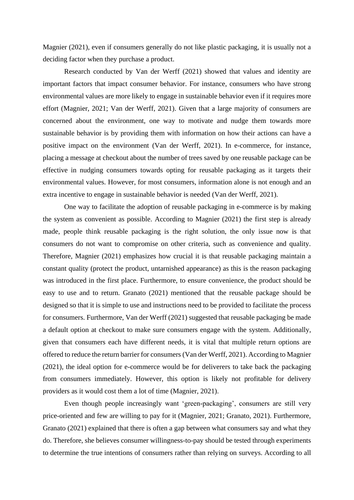Magnier (2021), even if consumers generally do not like plastic packaging, it is usually not a deciding factor when they purchase a product.

Research conducted by Van der Werff (2021) showed that values and identity are important factors that impact consumer behavior. For instance, consumers who have strong environmental values are more likely to engage in sustainable behavior even if it requires more effort (Magnier, 2021; Van der Werff, 2021). Given that a large majority of consumers are concerned about the environment, one way to motivate and nudge them towards more sustainable behavior is by providing them with information on how their actions can have a positive impact on the environment (Van der Werff, 2021). In e-commerce, for instance, placing a message at checkout about the number of trees saved by one reusable package can be effective in nudging consumers towards opting for reusable packaging as it targets their environmental values. However, for most consumers, information alone is not enough and an extra incentive to engage in sustainable behavior is needed (Van der Werff, 2021).

One way to facilitate the adoption of reusable packaging in e-commerce is by making the system as convenient as possible. According to Magnier (2021) the first step is already made, people think reusable packaging is the right solution, the only issue now is that consumers do not want to compromise on other criteria, such as convenience and quality. Therefore, Magnier (2021) emphasizes how crucial it is that reusable packaging maintain a constant quality (protect the product, untarnished appearance) as this is the reason packaging was introduced in the first place. Furthermore, to ensure convenience, the product should be easy to use and to return. Granato (2021) mentioned that the reusable package should be designed so that it is simple to use and instructions need to be provided to facilitate the process for consumers. Furthermore, Van der Werff (2021) suggested that reusable packaging be made a default option at checkout to make sure consumers engage with the system. Additionally, given that consumers each have different needs, it is vital that multiple return options are offered to reduce the return barrier for consumers (Van der Werff, 2021). According to Magnier (2021), the ideal option for e-commerce would be for deliverers to take back the packaging from consumers immediately. However, this option is likely not profitable for delivery providers as it would cost them a lot of time (Magnier, 2021).

Even though people increasingly want 'green-packaging', consumers are still very price-oriented and few are willing to pay for it (Magnier, 2021; Granato, 2021). Furthermore, Granato (2021) explained that there is often a gap between what consumers say and what they do. Therefore, she believes consumer willingness-to-pay should be tested through experiments to determine the true intentions of consumers rather than relying on surveys. According to all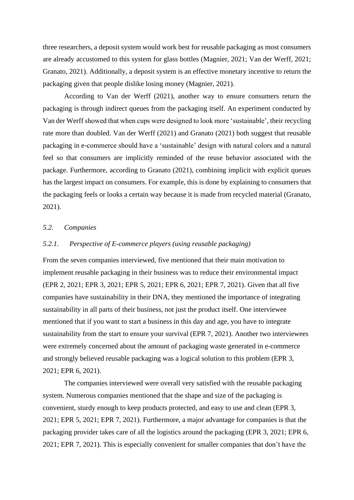three researchers, a deposit system would work best for reusable packaging as most consumers are already accustomed to this system for glass bottles (Magnier, 2021; Van der Werff, 2021; Granato, 2021). Additionally, a deposit system is an effective monetary incentive to return the packaging given that people dislike losing money (Magnier, 2021).

According to Van der Werff (2021), another way to ensure consumers return the packaging is through indirect queues from the packaging itself. An experiment conducted by Van der Werffshowed that when cups were designed to look more 'sustainable', their recycling rate more than doubled. Van der Werff (2021) and Granato (2021) both suggest that reusable packaging in e-commerce should have a 'sustainable' design with natural colors and a natural feel so that consumers are implicitly reminded of the reuse behavior associated with the package. Furthermore, according to Granato (2021), combining implicit with explicit queues has the largest impact on consumers. For example, this is done by explaining to consumers that the packaging feels or looks a certain way because it is made from recycled material (Granato, 2021).

## *5.2. Companies*

# *5.2.1. Perspective of E-commerce players (using reusable packaging)*

From the seven companies interviewed, five mentioned that their main motivation to implement reusable packaging in their business was to reduce their environmental impact (EPR 2, 2021; EPR 3, 2021; EPR 5, 2021; EPR 6, 2021; EPR 7, 2021). Given that all five companies have sustainability in their DNA, they mentioned the importance of integrating sustainability in all parts of their business, not just the product itself. One interviewee mentioned that if you want to start a business in this day and age, you have to integrate sustainability from the start to ensure your survival (EPR 7, 2021). Another two interviewees were extremely concerned about the amount of packaging waste generated in e-commerce and strongly believed reusable packaging was a logical solution to this problem (EPR 3, 2021; EPR 6, 2021).

The companies interviewed were overall very satisfied with the reusable packaging system. Numerous companies mentioned that the shape and size of the packaging is convenient, sturdy enough to keep products protected, and easy to use and clean (EPR 3, 2021; EPR 5, 2021; EPR 7, 2021). Furthermore, a major advantage for companies is that the packaging provider takes care of all the logistics around the packaging (EPR 3, 2021; EPR 6, 2021; EPR 7, 2021). This is especially convenient for smaller companies that don't have the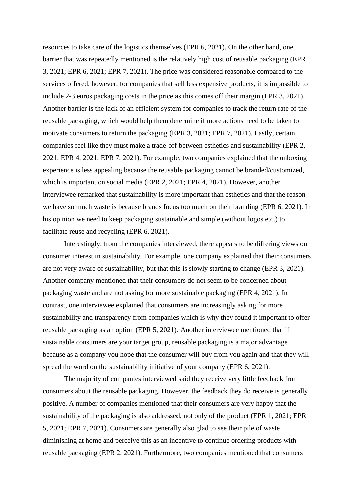resources to take care of the logistics themselves (EPR 6, 2021). On the other hand, one barrier that was repeatedly mentioned is the relatively high cost of reusable packaging (EPR 3, 2021; EPR 6, 2021; EPR 7, 2021). The price was considered reasonable compared to the services offered, however, for companies that sell less expensive products, it is impossible to include 2-3 euros packaging costs in the price as this comes off their margin (EPR 3, 2021). Another barrier is the lack of an efficient system for companies to track the return rate of the reusable packaging, which would help them determine if more actions need to be taken to motivate consumers to return the packaging (EPR 3, 2021; EPR 7, 2021). Lastly, certain companies feel like they must make a trade-off between esthetics and sustainability (EPR 2, 2021; EPR 4, 2021; EPR 7, 2021). For example, two companies explained that the unboxing experience is less appealing because the reusable packaging cannot be branded/customized, which is important on social media (EPR 2, 2021; EPR 4, 2021). However, another interviewee remarked that sustainability is more important than esthetics and that the reason we have so much waste is because brands focus too much on their branding (EPR 6, 2021). In his opinion we need to keep packaging sustainable and simple (without logos etc.) to facilitate reuse and recycling (EPR 6, 2021).

Interestingly, from the companies interviewed, there appears to be differing views on consumer interest in sustainability. For example, one company explained that their consumers are not very aware of sustainability, but that this is slowly starting to change (EPR 3, 2021). Another company mentioned that their consumers do not seem to be concerned about packaging waste and are not asking for more sustainable packaging (EPR 4, 2021). In contrast, one interviewee explained that consumers are increasingly asking for more sustainability and transparency from companies which is why they found it important to offer reusable packaging as an option (EPR 5, 2021). Another interviewee mentioned that if sustainable consumers are your target group, reusable packaging is a major advantage because as a company you hope that the consumer will buy from you again and that they will spread the word on the sustainability initiative of your company (EPR 6, 2021).

The majority of companies interviewed said they receive very little feedback from consumers about the reusable packaging. However, the feedback they do receive is generally positive. A number of companies mentioned that their consumers are very happy that the sustainability of the packaging is also addressed, not only of the product (EPR 1, 2021; EPR 5, 2021; EPR 7, 2021). Consumers are generally also glad to see their pile of waste diminishing at home and perceive this as an incentive to continue ordering products with reusable packaging (EPR 2, 2021). Furthermore, two companies mentioned that consumers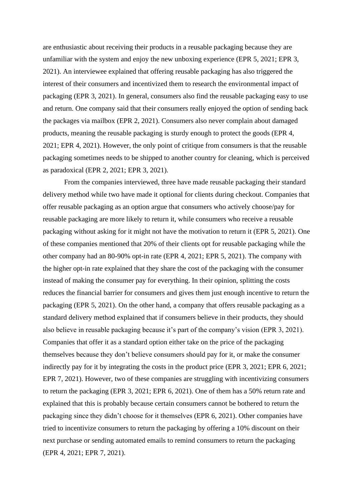are enthusiastic about receiving their products in a reusable packaging because they are unfamiliar with the system and enjoy the new unboxing experience (EPR 5, 2021; EPR 3, 2021). An interviewee explained that offering reusable packaging has also triggered the interest of their consumers and incentivized them to research the environmental impact of packaging (EPR 3, 2021). In general, consumers also find the reusable packaging easy to use and return. One company said that their consumers really enjoyed the option of sending back the packages via mailbox (EPR 2, 2021). Consumers also never complain about damaged products, meaning the reusable packaging is sturdy enough to protect the goods (EPR 4, 2021; EPR 4, 2021). However, the only point of critique from consumers is that the reusable packaging sometimes needs to be shipped to another country for cleaning, which is perceived as paradoxical (EPR 2, 2021; EPR 3, 2021).

From the companies interviewed, three have made reusable packaging their standard delivery method while two have made it optional for clients during checkout. Companies that offer reusable packaging as an option argue that consumers who actively choose/pay for reusable packaging are more likely to return it, while consumers who receive a reusable packaging without asking for it might not have the motivation to return it (EPR 5, 2021). One of these companies mentioned that 20% of their clients opt for reusable packaging while the other company had an 80-90% opt-in rate (EPR 4, 2021; EPR 5, 2021). The company with the higher opt-in rate explained that they share the cost of the packaging with the consumer instead of making the consumer pay for everything. In their opinion, splitting the costs reduces the financial barrier for consumers and gives them just enough incentive to return the packaging (EPR 5, 2021). On the other hand, a company that offers reusable packaging as a standard delivery method explained that if consumers believe in their products, they should also believe in reusable packaging because it's part of the company's vision (EPR 3, 2021). Companies that offer it as a standard option either take on the price of the packaging themselves because they don't believe consumers should pay for it, or make the consumer indirectly pay for it by integrating the costs in the product price (EPR 3, 2021; EPR 6, 2021; EPR 7, 2021). However, two of these companies are struggling with incentivizing consumers to return the packaging (EPR 3, 2021; EPR 6, 2021). One of them has a 50% return rate and explained that this is probably because certain consumers cannot be bothered to return the packaging since they didn't choose for it themselves (EPR 6, 2021). Other companies have tried to incentivize consumers to return the packaging by offering a 10% discount on their next purchase or sending automated emails to remind consumers to return the packaging (EPR 4, 2021; EPR 7, 2021).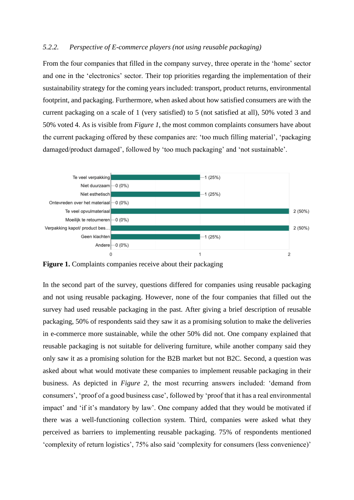### *5.2.2. Perspective of E-commerce players (not using reusable packaging)*

From the four companies that filled in the company survey, three operate in the 'home' sector and one in the 'electronics' sector. Their top priorities regarding the implementation of their sustainability strategy for the coming years included: transport, product returns, environmental footprint, and packaging. Furthermore, when asked about how satisfied consumers are with the current packaging on a scale of 1 (very satisfied) to 5 (not satisfied at all), 50% voted 3 and 50% voted 4. As is visible from *Figure 1*, the most common complaints consumers have about the current packaging offered by these companies are: 'too much filling material', 'packaging damaged/product damaged', followed by 'too much packaging' and 'not sustainable'.



**Figure 1.** Complaints companies receive about their packaging

In the second part of the survey, questions differed for companies using reusable packaging and not using reusable packaging. However, none of the four companies that filled out the survey had used reusable packaging in the past. After giving a brief description of reusable packaging, 50% of respondents said they saw it as a promising solution to make the deliveries in e-commerce more sustainable, while the other 50% did not. One company explained that reusable packaging is not suitable for delivering furniture, while another company said they only saw it as a promising solution for the B2B market but not B2C. Second, a question was asked about what would motivate these companies to implement reusable packaging in their business. As depicted in *Figure 2*, the most recurring answers included: 'demand from consumers', 'proof of a good business case', followed by 'proof that it has a real environmental impact' and 'if it's mandatory by law'. One company added that they would be motivated if there was a well-functioning collection system. Third, companies were asked what they perceived as barriers to implementing reusable packaging. 75% of respondents mentioned 'complexity of return logistics', 75% also said 'complexity for consumers (less convenience)'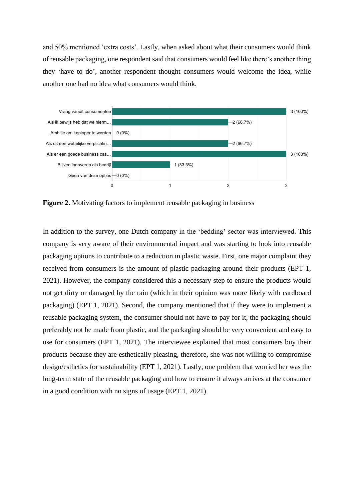and 50% mentioned 'extra costs'. Lastly, when asked about what their consumers would think of reusable packaging, one respondent said that consumers would feel like there's another thing they 'have to do', another respondent thought consumers would welcome the idea, while another one had no idea what consumers would think.



**Figure 2.** Motivating factors to implement reusable packaging in business

In addition to the survey, one Dutch company in the 'bedding' sector was interviewed. This company is very aware of their environmental impact and was starting to look into reusable packaging options to contribute to a reduction in plastic waste. First, one major complaint they received from consumers is the amount of plastic packaging around their products (EPT 1, 2021). However, the company considered this a necessary step to ensure the products would not get dirty or damaged by the rain (which in their opinion was more likely with cardboard packaging) (EPT 1, 2021). Second, the company mentioned that if they were to implement a reusable packaging system, the consumer should not have to pay for it, the packaging should preferably not be made from plastic, and the packaging should be very convenient and easy to use for consumers (EPT 1, 2021). The interviewee explained that most consumers buy their products because they are esthetically pleasing, therefore, she was not willing to compromise design/esthetics for sustainability (EPT 1, 2021). Lastly, one problem that worried her was the long-term state of the reusable packaging and how to ensure it always arrives at the consumer in a good condition with no signs of usage (EPT 1, 2021).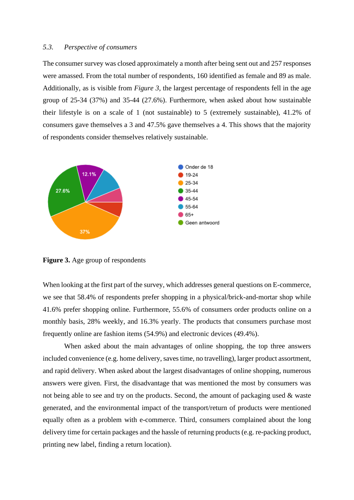#### *5.3. Perspective of consumers*

The consumer survey was closed approximately a month after being sent out and 257 responses were amassed. From the total number of respondents, 160 identified as female and 89 as male. Additionally, as is visible from *Figure 3,* the largest percentage of respondents fell in the age group of 25-34 (37%) and 35-44 (27.6%). Furthermore, when asked about how sustainable their lifestyle is on a scale of 1 (not sustainable) to 5 (extremely sustainable), 41.2% of consumers gave themselves a 3 and 47.5% gave themselves a 4. This shows that the majority of respondents consider themselves relatively sustainable.



**Figure 3.** Age group of respondents

When looking at the first part of the survey, which addresses general questions on E-commerce, we see that 58.4% of respondents prefer shopping in a physical/brick-and-mortar shop while 41.6% prefer shopping online. Furthermore, 55.6% of consumers order products online on a monthly basis, 28% weekly, and 16.3% yearly. The products that consumers purchase most frequently online are fashion items (54.9%) and electronic devices (49.4%).

When asked about the main advantages of online shopping, the top three answers included convenience (e.g. home delivery, saves time, no travelling), larger product assortment, and rapid delivery. When asked about the largest disadvantages of online shopping, numerous answers were given. First, the disadvantage that was mentioned the most by consumers was not being able to see and try on the products. Second, the amount of packaging used & waste generated, and the environmental impact of the transport/return of products were mentioned equally often as a problem with e-commerce. Third, consumers complained about the long delivery time for certain packages and the hassle of returning products (e.g. re-packing product, printing new label, finding a return location).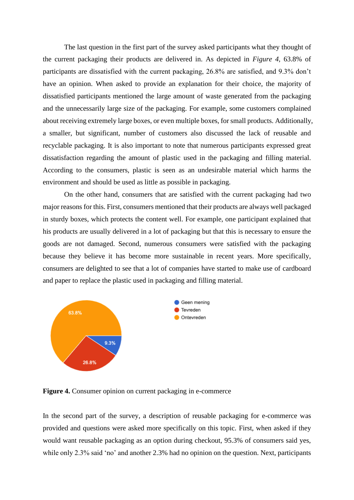The last question in the first part of the survey asked participants what they thought of the current packaging their products are delivered in. As depicted in *Figure 4,* 63.8% of participants are dissatisfied with the current packaging, 26.8% are satisfied, and 9.3% don't have an opinion. When asked to provide an explanation for their choice, the majority of dissatisfied participants mentioned the large amount of waste generated from the packaging and the unnecessarily large size of the packaging. For example, some customers complained about receiving extremely large boxes, or even multiple boxes, for small products. Additionally, a smaller, but significant, number of customers also discussed the lack of reusable and recyclable packaging. It is also important to note that numerous participants expressed great dissatisfaction regarding the amount of plastic used in the packaging and filling material. According to the consumers, plastic is seen as an undesirable material which harms the environment and should be used as little as possible in packaging.

On the other hand, consumers that are satisfied with the current packaging had two major reasons for this. First, consumers mentioned that their products are always well packaged in sturdy boxes, which protects the content well. For example, one participant explained that his products are usually delivered in a lot of packaging but that this is necessary to ensure the goods are not damaged. Second, numerous consumers were satisfied with the packaging because they believe it has become more sustainable in recent years. More specifically, consumers are delighted to see that a lot of companies have started to make use of cardboard and paper to replace the plastic used in packaging and filling material.



**Figure 4.** Consumer opinion on current packaging in e-commerce

In the second part of the survey, a description of reusable packaging for e-commerce was provided and questions were asked more specifically on this topic. First, when asked if they would want reusable packaging as an option during checkout, 95.3% of consumers said yes, while only 2.3% said 'no' and another 2.3% had no opinion on the question. Next, participants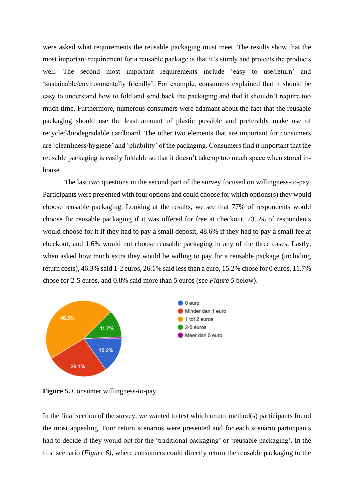were asked what requirements the reusable packaging must meet. The results show that the most important requirement for a reusable package is that it's sturdy and protects the products well. The second most important requirements include 'easy to use/return' and 'sustainable/environmentally friendly'. For example, consumers explained that it should be easy to understand how to fold and send back the packaging and that it shouldn't require too much time. Furthermore, numerous consumers were adamant about the fact that the reusable packaging should use the least amount of plastic possible and preferably make use of recycled/biodegradable cardboard. The other two elements that are important for consumers are 'cleanliness/hygiene' and 'pliability' of the packaging. Consumers find it important that the reusable packaging is easily foldable so that it doesn't take up too much space when stored inhouse.

The last two questions in the second part of the survey focused on willingness-to-pay. Participants were presented with four options and could choose for which options(s) they would choose reusable packaging. Looking at the results, we see that 77% of respondents would choose for reusable packaging if it was offered for free at checkout, 73.5% of respondents would choose for it if they had to pay a small deposit, 48.6% if they had to pay a small fee at checkout, and 1.6% would not choose reusable packaging in any of the three cases. Lastly, when asked how much extra they would be willing to pay for a reusable package (including return costs), 46.3% said 1-2 euros, 26.1% said less than a euro, 15.2% chose for 0 euros, 11.7% chose for 2-5 euros, and 0.8% said more than 5 euros (see *Figure 5* below).



**Figure 5.** Consumer willingness-to-pay

In the final section of the survey, we wanted to test which return method(s) participants found the most appealing. Four return scenarios were presented and for each scenario participants had to decide if they would opt for the 'traditional packaging' or 'reusable packaging'. In the first scenario (*Figure 6),* where consumers could directly return the reusable packaging to the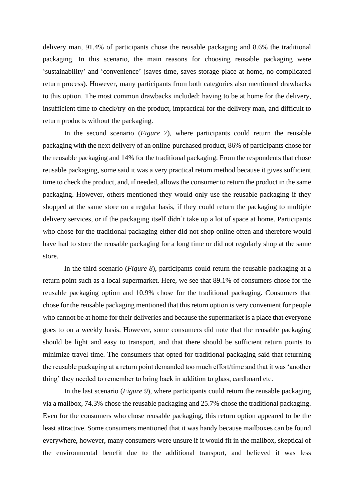delivery man, 91.4% of participants chose the reusable packaging and 8.6% the traditional packaging. In this scenario, the main reasons for choosing reusable packaging were 'sustainability' and 'convenience' (saves time, saves storage place at home, no complicated return process). However, many participants from both categories also mentioned drawbacks to this option. The most common drawbacks included: having to be at home for the delivery, insufficient time to check/try-on the product, impractical for the delivery man, and difficult to return products without the packaging.

In the second scenario (*Figure 7*), where participants could return the reusable packaging with the next delivery of an online-purchased product, 86% of participants chose for the reusable packaging and 14% for the traditional packaging. From the respondents that chose reusable packaging, some said it was a very practical return method because it gives sufficient time to check the product, and, if needed, allows the consumer to return the product in the same packaging. However, others mentioned they would only use the reusable packaging if they shopped at the same store on a regular basis, if they could return the packaging to multiple delivery services, or if the packaging itself didn't take up a lot of space at home. Participants who chose for the traditional packaging either did not shop online often and therefore would have had to store the reusable packaging for a long time or did not regularly shop at the same store.

In the third scenario (*Figure 8*), participants could return the reusable packaging at a return point such as a local supermarket. Here, we see that 89.1% of consumers chose for the reusable packaging option and 10.9% chose for the traditional packaging. Consumers that chose for the reusable packaging mentioned that this return option is very convenient for people who cannot be at home for their deliveries and because the supermarket is a place that everyone goes to on a weekly basis. However, some consumers did note that the reusable packaging should be light and easy to transport, and that there should be sufficient return points to minimize travel time. The consumers that opted for traditional packaging said that returning the reusable packaging at a return point demanded too much effort/time and that it was 'another thing' they needed to remember to bring back in addition to glass, cardboard etc.

In the last scenario (*Figure 9*), where participants could return the reusable packaging via a mailbox, 74.3% chose the reusable packaging and 25.7% chose the traditional packaging. Even for the consumers who chose reusable packaging, this return option appeared to be the least attractive. Some consumers mentioned that it was handy because mailboxes can be found everywhere, however, many consumers were unsure if it would fit in the mailbox, skeptical of the environmental benefit due to the additional transport, and believed it was less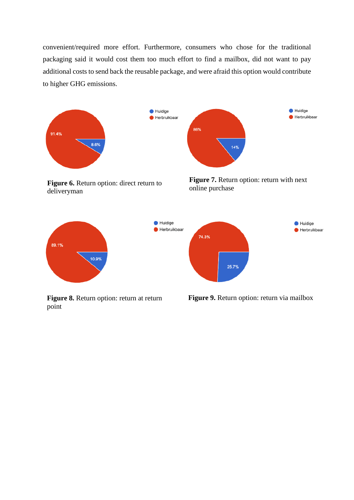convenient/required more effort. Furthermore, consumers who chose for the traditional packaging said it would cost them too much effort to find a mailbox, did not want to pay additional costs to send back the reusable package, and were afraid this option would contribute to higher GHG emissions.

86%



**Figure 6.** Return option: direct return to deliveryman

**Figure 7.** Return option: return with next online purchase

 $14%$ 

Huidige  $\bullet$  Herbruikbaar



**Figure 8.** Return option: return at return point

**Figure 9.** Return option: return via mailbox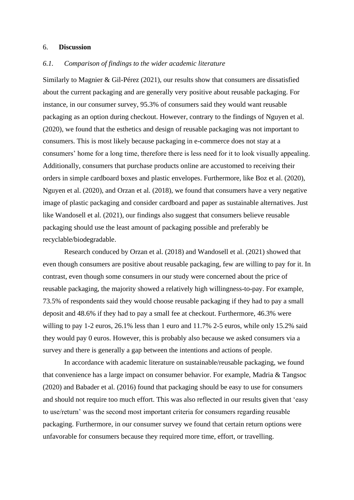#### 6. **Discussion**

## *6.1. Comparison of findings to the wider academic literature*

Similarly to Magnier & Gil-Pérez (2021), our results show that consumers are dissatisfied about the current packaging and are generally very positive about reusable packaging. For instance, in our consumer survey, 95.3% of consumers said they would want reusable packaging as an option during checkout. However, contrary to the findings of Nguyen et al. (2020), we found that the esthetics and design of reusable packaging was not important to consumers. This is most likely because packaging in e-commerce does not stay at a consumers' home for a long time, therefore there is less need for it to look visually appealing. Additionally, consumers that purchase products online are accustomed to receiving their orders in simple cardboard boxes and plastic envelopes. Furthermore, like Boz et al. (2020), Nguyen et al. (2020), and Orzan et al. (2018), we found that consumers have a very negative image of plastic packaging and consider cardboard and paper as sustainable alternatives. Just like Wandosell et al. (2021), our findings also suggest that consumers believe reusable packaging should use the least amount of packaging possible and preferably be recyclable/biodegradable.

Research conduced by Orzan et al. (2018) and Wandosell et al. (2021) showed that even though consumers are positive about reusable packaging, few are willing to pay for it. In contrast, even though some consumers in our study were concerned about the price of reusable packaging, the majority showed a relatively high willingness-to-pay. For example, 73.5% of respondents said they would choose reusable packaging if they had to pay a small deposit and 48.6% if they had to pay a small fee at checkout. Furthermore, 46.3% were willing to pay 1-2 euros, 26.1% less than 1 euro and 11.7% 2-5 euros, while only 15.2% said they would pay 0 euros. However, this is probably also because we asked consumers via a survey and there is generally a gap between the intentions and actions of people.

In accordance with academic literature on sustainable/reusable packaging, we found that convenience has a large impact on consumer behavior. For example, Madria & Tangsoc (2020) and Babader et al. (2016) found that packaging should be easy to use for consumers and should not require too much effort. This was also reflected in our results given that 'easy to use/return' was the second most important criteria for consumers regarding reusable packaging. Furthermore, in our consumer survey we found that certain return options were unfavorable for consumers because they required more time, effort, or travelling.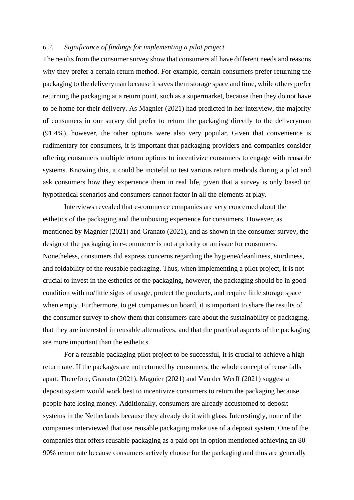## *6.2. Significance of findings for implementing a pilot project*

The results from the consumer survey show that consumers all have different needs and reasons why they prefer a certain return method. For example, certain consumers prefer returning the packaging to the deliveryman because it saves them storage space and time, while others prefer returning the packaging at a return point, such as a supermarket, because then they do not have to be home for their delivery. As Magnier (2021) had predicted in her interview, the majority of consumers in our survey did prefer to return the packaging directly to the deliveryman (91.4%), however, the other options were also very popular. Given that convenience is rudimentary for consumers, it is important that packaging providers and companies consider offering consumers multiple return options to incentivize consumers to engage with reusable systems. Knowing this, it could be inciteful to test various return methods during a pilot and ask consumers how they experience them in real life, given that a survey is only based on hypothetical scenarios and consumers cannot factor in all the elements at play.

Interviews revealed that e-commerce companies are very concerned about the esthetics of the packaging and the unboxing experience for consumers. However, as mentioned by Magnier (2021) and Granato (2021), and as shown in the consumer survey, the design of the packaging in e-commerce is not a priority or an issue for consumers. Nonetheless, consumers did express concerns regarding the hygiene/cleanliness, sturdiness, and foldability of the reusable packaging. Thus, when implementing a pilot project, it is not crucial to invest in the esthetics of the packaging, however, the packaging should be in good condition with no/little signs of usage, protect the products, and require little storage space when empty. Furthermore, to get companies on board, it is important to share the results of the consumer survey to show them that consumers care about the sustainability of packaging, that they are interested in reusable alternatives, and that the practical aspects of the packaging are more important than the esthetics.

For a reusable packaging pilot project to be successful, it is crucial to achieve a high return rate. If the packages are not returned by consumers, the whole concept of reuse falls apart. Therefore, Granato (2021), Magnier (2021) and Van der Werff (2021) suggest a deposit system would work best to incentivize consumers to return the packaging because people hate losing money. Additionally, consumers are already accustomed to deposit systems in the Netherlands because they already do it with glass. Interestingly, none of the companies interviewed that use reusable packaging make use of a deposit system. One of the companies that offers reusable packaging as a paid opt-in option mentioned achieving an 80- 90% return rate because consumers actively choose for the packaging and thus are generally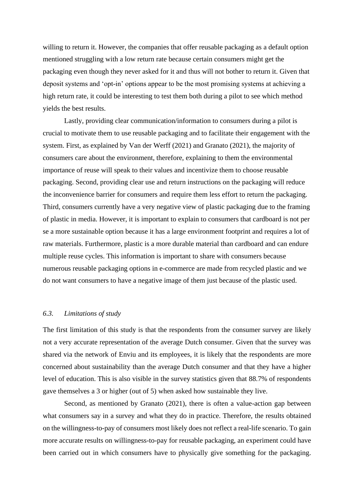willing to return it. However, the companies that offer reusable packaging as a default option mentioned struggling with a low return rate because certain consumers might get the packaging even though they never asked for it and thus will not bother to return it. Given that deposit systems and 'opt-in' options appear to be the most promising systems at achieving a high return rate, it could be interesting to test them both during a pilot to see which method yields the best results.

Lastly, providing clear communication/information to consumers during a pilot is crucial to motivate them to use reusable packaging and to facilitate their engagement with the system. First, as explained by Van der Werff (2021) and Granato (2021), the majority of consumers care about the environment, therefore, explaining to them the environmental importance of reuse will speak to their values and incentivize them to choose reusable packaging. Second, providing clear use and return instructions on the packaging will reduce the inconvenience barrier for consumers and require them less effort to return the packaging. Third, consumers currently have a very negative view of plastic packaging due to the framing of plastic in media. However, it is important to explain to consumers that cardboard is not per se a more sustainable option because it has a large environment footprint and requires a lot of raw materials. Furthermore, plastic is a more durable material than cardboard and can endure multiple reuse cycles. This information is important to share with consumers because numerous reusable packaging options in e-commerce are made from recycled plastic and we do not want consumers to have a negative image of them just because of the plastic used.

## *6.3. Limitations of study*

The first limitation of this study is that the respondents from the consumer survey are likely not a very accurate representation of the average Dutch consumer. Given that the survey was shared via the network of Enviu and its employees, it is likely that the respondents are more concerned about sustainability than the average Dutch consumer and that they have a higher level of education. This is also visible in the survey statistics given that 88.7% of respondents gave themselves a 3 or higher (out of 5) when asked how sustainable they live.

Second, as mentioned by Granato (2021), there is often a value-action gap between what consumers say in a survey and what they do in practice. Therefore, the results obtained on the willingness-to-pay of consumers most likely does not reflect a real-life scenario. To gain more accurate results on willingness-to-pay for reusable packaging, an experiment could have been carried out in which consumers have to physically give something for the packaging.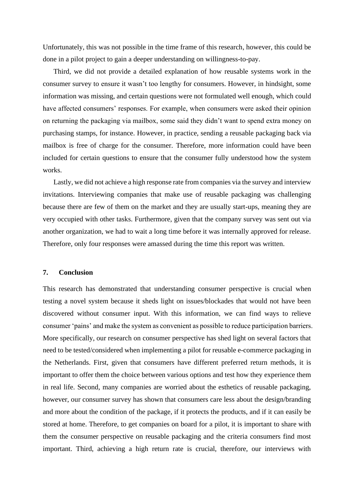Unfortunately, this was not possible in the time frame of this research, however, this could be done in a pilot project to gain a deeper understanding on willingness-to-pay.

Third, we did not provide a detailed explanation of how reusable systems work in the consumer survey to ensure it wasn't too lengthy for consumers. However, in hindsight, some information was missing, and certain questions were not formulated well enough, which could have affected consumers' responses. For example, when consumers were asked their opinion on returning the packaging via mailbox, some said they didn't want to spend extra money on purchasing stamps, for instance. However, in practice, sending a reusable packaging back via mailbox is free of charge for the consumer. Therefore, more information could have been included for certain questions to ensure that the consumer fully understood how the system works.

Lastly, we did not achieve a high response rate from companies via the survey and interview invitations. Interviewing companies that make use of reusable packaging was challenging because there are few of them on the market and they are usually start-ups, meaning they are very occupied with other tasks. Furthermore, given that the company survey was sent out via another organization, we had to wait a long time before it was internally approved for release. Therefore, only four responses were amassed during the time this report was written.

# **7. Conclusion**

This research has demonstrated that understanding consumer perspective is crucial when testing a novel system because it sheds light on issues/blockades that would not have been discovered without consumer input. With this information, we can find ways to relieve consumer 'pains' and make the system as convenient as possible to reduce participation barriers. More specifically, our research on consumer perspective has shed light on several factors that need to be tested/considered when implementing a pilot for reusable e-commerce packaging in the Netherlands. First, given that consumers have different preferred return methods, it is important to offer them the choice between various options and test how they experience them in real life. Second, many companies are worried about the esthetics of reusable packaging, however, our consumer survey has shown that consumers care less about the design/branding and more about the condition of the package, if it protects the products, and if it can easily be stored at home. Therefore, to get companies on board for a pilot, it is important to share with them the consumer perspective on reusable packaging and the criteria consumers find most important. Third, achieving a high return rate is crucial, therefore, our interviews with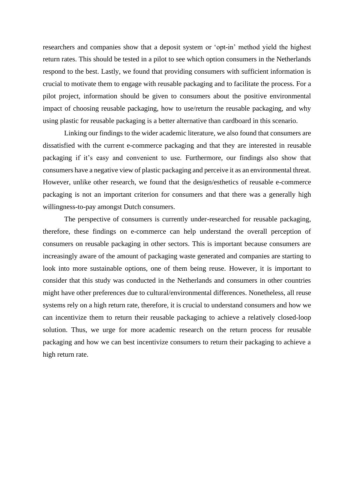researchers and companies show that a deposit system or 'opt-in' method yield the highest return rates. This should be tested in a pilot to see which option consumers in the Netherlands respond to the best. Lastly, we found that providing consumers with sufficient information is crucial to motivate them to engage with reusable packaging and to facilitate the process. For a pilot project, information should be given to consumers about the positive environmental impact of choosing reusable packaging, how to use/return the reusable packaging, and why using plastic for reusable packaging is a better alternative than cardboard in this scenario.

Linking our findings to the wider academic literature, we also found that consumers are dissatisfied with the current e-commerce packaging and that they are interested in reusable packaging if it's easy and convenient to use. Furthermore, our findings also show that consumers have a negative view of plastic packaging and perceive it as an environmental threat. However, unlike other research, we found that the design/esthetics of reusable e-commerce packaging is not an important criterion for consumers and that there was a generally high willingness-to-pay amongst Dutch consumers.

The perspective of consumers is currently under-researched for reusable packaging, therefore, these findings on e-commerce can help understand the overall perception of consumers on reusable packaging in other sectors. This is important because consumers are increasingly aware of the amount of packaging waste generated and companies are starting to look into more sustainable options, one of them being reuse. However, it is important to consider that this study was conducted in the Netherlands and consumers in other countries might have other preferences due to cultural/environmental differences. Nonetheless, all reuse systems rely on a high return rate, therefore, it is crucial to understand consumers and how we can incentivize them to return their reusable packaging to achieve a relatively closed-loop solution. Thus, we urge for more academic research on the return process for reusable packaging and how we can best incentivize consumers to return their packaging to achieve a high return rate.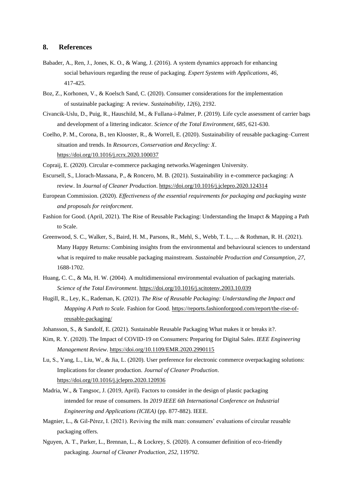#### **8. References**

- Babader, A., Ren, J., Jones, K. O., & Wang, J. (2016). A system dynamics approach for enhancing social behaviours regarding the reuse of packaging. *Expert Systems with Applications*, *46*, 417-425.
- Boz, Z., Korhonen, V., & Koelsch Sand, C. (2020). Consumer considerations for the implementation of sustainable packaging: A review. *Sustainability*, *12*(6), 2192.
- Civancik-Uslu, D., Puig, R., Hauschild, M., & Fullana-i-Palmer, P. (2019). Life cycle assessment of carrier bags and development of a littering indicator. *Science of the Total Environment*, *685*, 621-630.
- Coelho, P. M., Corona, B., ten Klooster, R., & Worrell, E. (2020). Sustainability of reusable packaging–Current situation and trends. In *Resources, Conservation and Recycling: X*. <https://doi.org/10.1016/j.rcrx.2020.100037>

Copraij, E. (2020). Circular e-commerce packaging networks.Wageningen University.

- Escursell, S., Llorach-Massana, P., & Roncero, M. B. (2021). Sustainability in e-commerce packaging: A review. In *Journal of Cleaner Production*[. https://doi.org/10.1016/j.jclepro.2020.124314](https://doi.org/10.1016/j.jclepro.2020.124314)
- European Commission. (2020). *Effectiveness of the essential requirements for packaging and packaging waste and proposals for reinforcment*.
- Fashion for Good. (April, 2021). The Rise of Reusable Packaging: Understanding the Imapct & Mapping a Path to Scale.
- Greenwood, S. C., Walker, S., Baird, H. M., Parsons, R., Mehl, S., Webb, T. L., ... & Rothman, R. H. (2021). Many Happy Returns: Combining insights from the environmental and behavioural sciences to understand what is required to make reusable packaging mainstream. *Sustainable Production and Consumption*, *27*, 1688-1702.
- Huang, C. C., & Ma, H. W. (2004). A multidimensional environmental evaluation of packaging materials. *Science of the Total Environment*.<https://doi.org/10.1016/j.scitotenv.2003.10.039>
- Hugill, R., Ley, K., Rademan, K. (2021). *The Rise of Reusable Packaging: Understanding the Impact and Mapping A Path to Scale.* Fashion for Good. [https://reports.fashionforgood.com/report/the-rise-of](https://reports.fashionforgood.com/report/the-rise-of-reusable-packaging/)[reusable-packaging/](https://reports.fashionforgood.com/report/the-rise-of-reusable-packaging/)
- Johansson, S., & Sandolf, E. (2021). Sustainable Reusable Packaging What makes it or breaks it?.
- Kim, R. Y. (2020). The Impact of COVID-19 on Consumers: Preparing for Digital Sales. *IEEE Engineering Management Review*[. https://doi.org/10.1109/EMR.2020.2990115](https://doi.org/10.1109/EMR.2020.2990115)
- Lu, S., Yang, L., Liu, W., & Jia, L. (2020). User preference for electronic commerce overpackaging solutions: Implications for cleaner production. *Journal of Cleaner Production*. <https://doi.org/10.1016/j.jclepro.2020.120936>
- Madria, W., & Tangsoc, J. (2019, April). Factors to consider in the design of plastic packaging intended for reuse of consumers. In *2019 IEEE 6th International Conference on Industrial Engineering and Applications (ICIEA)* (pp. 877-882). IEEE.
- Magnier, L., & Gil-Pérez, I. (2021). Reviving the milk man: consumers' evaluations of circular reusable packaging offers.
- Nguyen, A. T., Parker, L., Brennan, L., & Lockrey, S. (2020). A consumer definition of eco-friendly packaging. *Journal of Cleaner Production*, *252*, 119792.